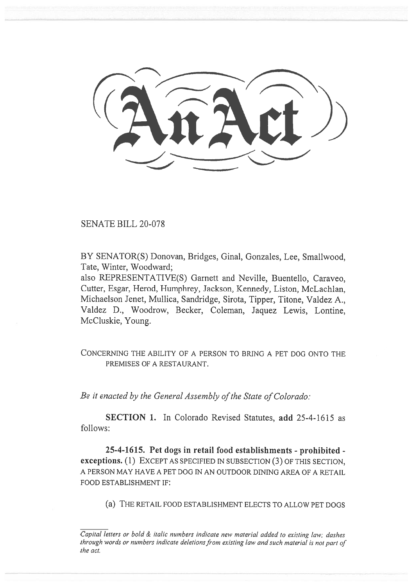SENATE BILL 20-078

BY SENATOR(S) Donovan, Bridges, Ginal, Gonzales, Lee, Smallwood, Tate, Winter, Woodward;

also REPRESENTATIVE(S) Garnett and Neville, Buentello, Caraveo, Cutter, Esgar, Herod, Humphrey, Jackson, Kennedy, Liston, McLachlan, Michaelson Jenet, Mullica, Sandridge, Sirota, Tipper, Titone, Valdez A., Valdez D., Woodrow, Becker, Coleman, Jaquez Lewis, Lontine, McCluskie, Young.

CONCERNING THE ABILITY OF A PERSON TO BRING A PET DOG ONTO THE PREMISES OF A RESTAURANT.

*Be it enacted by the General Assembly of the State of Colorado:* 

**SECTION 1.** In Colorado Revised Statutes, **add** 25-4-1615 as follows:

**25-4-1615. Pet dogs in retail food establishments - prohibited exceptions.** (1) EXCEPT AS SPECIFIED IN SUBSECTION (3) OF THIS SECTION, A PERSON MAY HAVE A PET DOG IN AN OUTDOOR DINING AREA OF A RETAIL FOOD ESTABLISHMENT IF:

(a) THE RETAIL FOOD ESTABLISHMENT ELECTS TO ALLOW PET DOGS

*Capital letters or bold & italic numbers indicate new material added to existing law; dashes through words or numbers indicate deletions from existing law and such material is not part of the act.*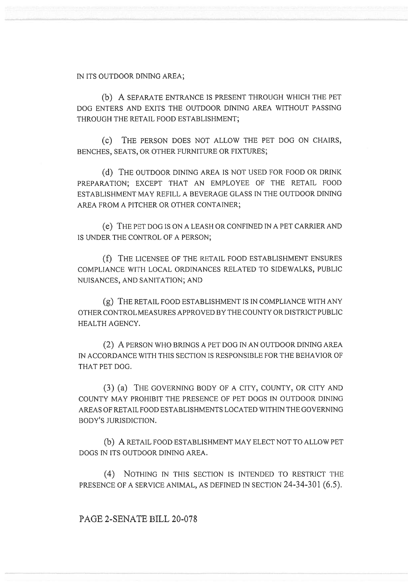IN ITS OUTDOOR DINING AREA;

(b) A SEPARATE ENTRANCE IS PRESENT THROUGH WHICH THE PET DOG ENTERS AND EXITS THE OUTDOOR DINING AREA WITHOUT PASSING THROUGH THE RETAIL FOOD ESTABLISHMENT;

(c) THE PERSON DOES NOT ALLOW THE PET DOG ON CHAIRS, BENCHES, SEATS, OR OTHER FURNITURE OR FIXTURES;

(d) THE OUTDOOR DINING AREA IS NOT USED FOR FOOD OR DRINK PREPARATION; EXCEPT THAT AN EMPLOYEE OF THE RETAIL FOOD ESTABLISHMENT MAY REFILL A BEVERAGE GLASS IN THE OUTDOOR DINING AREA FROM A PITCHER OR OTHER CONTAINER;

(e) THE PET DOG IS ON A LEASH OR CONFINED IN A PET CARRIER AND IS UNDER THE CONTROL OF A PERSON;

(f) THE LICENSEE OF THE RETAIL FOOD ESTABLISHMENT ENSURES COMPLIANCE WITH LOCAL ORDINANCES RELATED TO SIDEWALKS, PUBLIC NUISANCES, AND SANITATION; AND

(g) THE RETAIL FOOD ESTABLISHMENT IS IN COMPLIANCE WITH ANY OTHER CONTROL MEASURES APPROVED BY THE COUNTY OR DISTRICT PUBLIC HEALTH AGENCY.

(2) A PERSON WHO BRINGS A PET DOG IN AN OUTDOOR DINING AREA IN ACCORDANCE WITH THIS SECTION IS RESPONSIBLE FOR THE BEHAVIOR OF THAT PET DOG.

(3) (a) THE GOVERNING BODY OF A CITY, COUNTY, OR CITY AND COUNTY MAY PROHIBIT THE PRESENCE OF PET DOGS IN OUTDOOR DINING AREAS OF RETAIL FOOD ESTABLISHMENTS LOCATED WITHIN THE GOVERNING BODY'S JURISDICTION.

(b) A RETAIL FOOD ESTABLISHMENT MAY ELECT NOT TO ALLOW PET DOGS IN ITS OUTDOOR DINING AREA.

(4) NOTHING IN THIS SECTION IS INTENDED TO RESTRICT THE PRESENCE OF A SERVICE ANIMAL, AS DEFINED IN SECTION 24-34-301 (6.5).

PAGE 2-SENATE BILL 20-078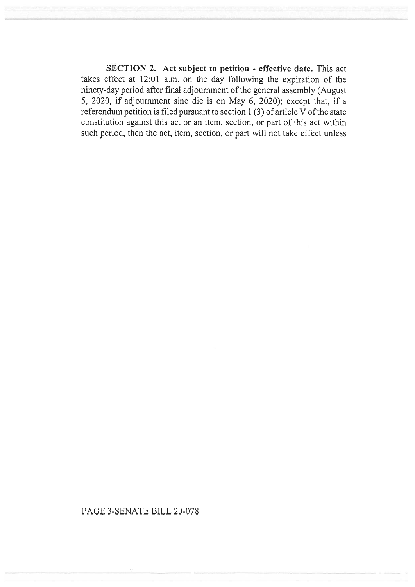SECTION 2. Act subject to petition - effective date. This act takes effect at 12:01 a.m. on the day following the expiration of the ninety-day period after final adjournment of the general assembly (August 5, 2020, if adjournment sine die is on May 6, 2020); except that, if a referendum petition is filed pursuant to section 1 (3) of article  $\overline{V}$  of the state constitution against this act or an item, section, or part of this act within such period, then the act, item, section, or part will not take effect unless

## PAGE 3-SENATE BILL 20-078